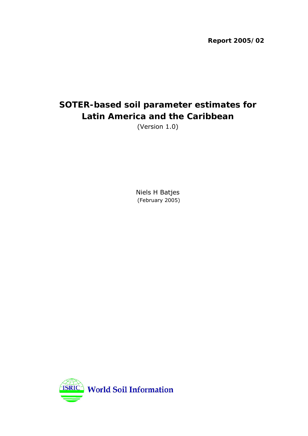**Report 2005/02**

# **SOTER-based soil parameter estimates for Latin America and the Caribbean**

(Version 1.0)

Niels H Batjes (February 2005)

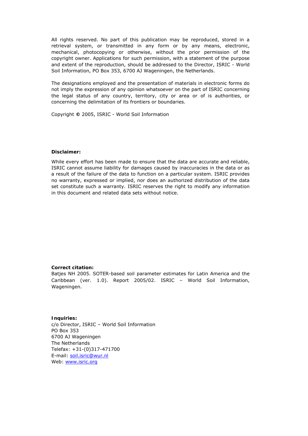All rights reserved. No part of this publication may be reproduced, stored in a retrieval system, or transmitted in any form or by any means, electronic, mechanical, photocopying or otherwise, without the prior permission of the copyright owner. Applications for such permission, with a statement of the purpose and extent of the reproduction, should be addressed to the Director, ISRIC - World Soil Information, PO Box 353, 6700 AJ Wageningen, the Netherlands.

The designations employed and the presentation of materials in electronic forms do not imply the expression of any opinion whatsoever on the part of ISRIC concerning the legal status of any country, territory, city or area or of is authorities, or concerning the delimitation of its frontiers or boundaries.

Copyright **©** 2005, ISRIC - World Soil Information

#### **Disclaimer:**

While every effort has been made to ensure that the data are accurate and reliable, ISRIC cannot assume liability for damages caused by inaccuracies in the data or as a result of the failure of the data to function on a particular system. ISRIC provides no warranty, expressed or implied, nor does an authorized distribution of the data set constitute such a warranty. ISRIC reserves the right to modify any information in this document and related data sets without notice.

#### **Correct citation:**

Batjes NH 2005. SOTER-based soil parameter estimates for Latin America and the Caribbean (ver. 1.0). Report 2005/02. ISRIC – World Soil Information, Wageningen.

**Inquiries:** c/o Director, ISRIC – World Soil Information PO Box 353 6700 AJ Wageningen The Netherlands Telefax: +31-(0)317-471700 E-mail: [soil.isric@wur.nl](mailto:soil.isric@wur.nl) Web: [www.isric.org](http://www.isric.org/)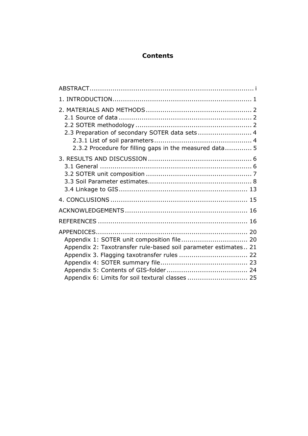# **Contents**

| 2.3 Preparation of secondary SOTER data sets 4                  |  |
|-----------------------------------------------------------------|--|
| 2.3.2 Procedure for filling gaps in the measured data 5         |  |
|                                                                 |  |
|                                                                 |  |
|                                                                 |  |
|                                                                 |  |
|                                                                 |  |
|                                                                 |  |
|                                                                 |  |
|                                                                 |  |
|                                                                 |  |
| Appendix 1: SOTER unit composition file 20                      |  |
| Appendix 2: Taxotransfer rule-based soil parameter estimates 21 |  |
| Appendix 3. Flagging taxotransfer rules  22                     |  |
|                                                                 |  |
|                                                                 |  |
|                                                                 |  |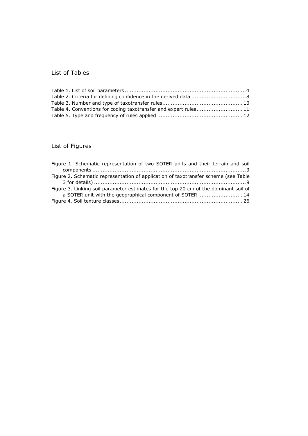# List of Tables

| Table 4. Conventions for coding taxotransfer and expert rules11 |  |
|-----------------------------------------------------------------|--|
|                                                                 |  |

# List of Figures

| Figure 1. Schematic representation of two SOTER units and their terrain and soil     |
|--------------------------------------------------------------------------------------|
|                                                                                      |
| Figure 2. Schematic representation of application of taxotransfer scheme (see Table  |
|                                                                                      |
| Figure 3. Linking soil parameter estimates for the top 20 cm of the dominant soil of |
| a SOTER unit with the geographical component of SOTER  14                            |
|                                                                                      |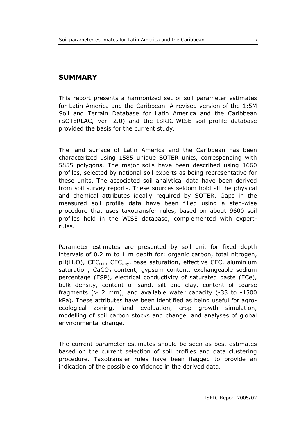## <span id="page-4-0"></span>**SUMMARY**

This report presents a harmonized set of soil parameter estimates for Latin America and the Caribbean. A revised version of the 1:5M Soil and Terrain Database for Latin America and the Caribbean (SOTERLAC, ver. 2.0) and the ISRIC-WISE soil profile database provided the basis for the current study.

The land surface of Latin America and the Caribbean has been characterized using 1585 unique SOTER units, corresponding with 5855 polygons. The major soils have been described using 1660 profiles, selected by national soil experts as being representative for these units. The associated soil analytical data have been derived from soil survey reports. These sources seldom hold all the physical and chemical attributes ideally required by SOTER. Gaps in the measured soil profile data have been filled using a step-wise procedure that uses taxotransfer rules, based on about 9600 soil profiles held in the WISE database, complemented with expertrules.

Parameter estimates are presented by soil unit for fixed depth intervals of 0.2 m to 1 m depth for: organic carbon, total nitrogen,  $pH(H_2O)$ , CEC<sub>soil</sub>, CEC<sub>clav</sub>, base saturation, effective CEC, aluminium saturation,  $CaCO<sub>3</sub>$  content, gypsum content, exchangeable sodium percentage (ESP), electrical conductivity of saturated paste (ECe), bulk density, content of sand, silt and clay, content of coarse fragments (> 2 mm), and available water capacity (-33 to -1500 kPa). These attributes have been identified as being useful for agroecological zoning, land evaluation, crop growth simulation, modelling of soil carbon stocks and change, and analyses of global environmental change.

The current parameter estimates should be seen as best estimates based on the current selection of soil profiles and data clustering procedure. Taxotransfer rules have been flagged to provide an indication of the possible confidence in the derived data.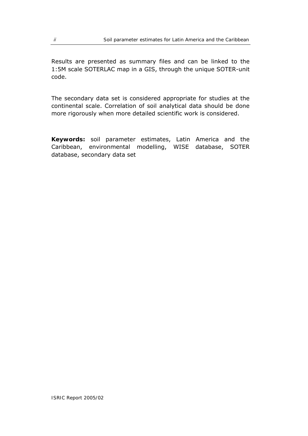Results are presented as summary files and can be linked to the 1:5M scale SOTERLAC map in a GIS, through the unique SOTER-unit code.

The secondary data set is considered appropriate for studies at the continental scale. Correlation of soil analytical data should be done more rigorously when more detailed scientific work is considered.

**Keywords:** soil parameter estimates, Latin America and the Caribbean, environmental modelling, WISE database, SOTER database, secondary data set

*ISRIC Report 2005/02*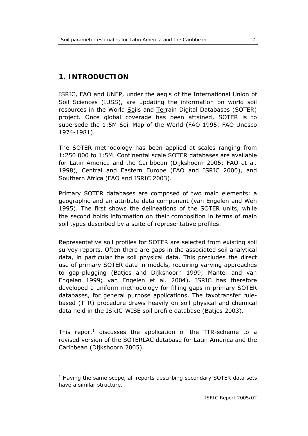# <span id="page-6-0"></span>**1. INTRODUCTION**

j

ISRIC, FAO and UNEP, under the aegis of the International Union of Soil Sciences (IUSS), are updating the information on world soil resources in the World Soils and Terrain Digital Databases (SOTER) project. Once global coverage has been attained, SOTER is to supersede the 1:5M Soil Map of the World (FAO 1995; FAO-Unesco 1974-1981).

The SOTER methodology has been applied at scales ranging from 1:250 000 to 1:5M. Continental scale SOTER databases are available for Latin America and the Caribbean (Dijkshoorn 2005; FAO *et al.* 1998), Central and Eastern Europe (FAO and ISRIC 2000), and Southern Africa (FAO and ISRIC 2003).

Primary SOTER databases are composed of two main elements: a geographic and an attribute data component (van Engelen and Wen 1995). The first shows the delineations of the SOTER units, while the second holds information on their composition in terms of main soil types described by a suite of representative profiles.

Representative soil profiles for SOTER are selected from existing soil survey reports. Often there are gaps in the associated soil analytical data, in particular the soil physical data. This precludes the direct use of primary SOTER data in models, requiring varying approaches to gap-plugging (Batjes and Dijkshoorn 1999; Mantel and van Engelen 1999; van Engelen *et al.* 2004). ISRIC has therefore developed a uniform methodology for filling gaps in primary SOTER databases, for general purpose applications. The taxotransfer rulebased (TTR) procedure draws heavily on soil physical and chemical data held in the ISRIC-WISE soil profile database (Batjes 2003).

This report<sup>[1](#page-6-1)</sup> discusses the application of the TTR-scheme to a revised version of the SOTERLAC database for Latin America and the Caribbean (Dijkshoorn 2005).

<span id="page-6-1"></span> $1$  Having the same scope, all reports describing secondary SOTER data sets have a similar structure.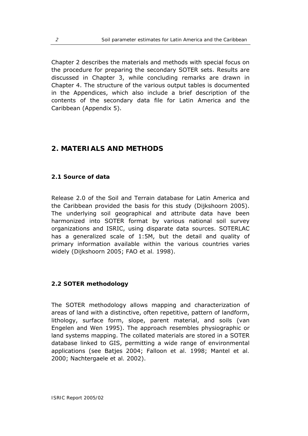<span id="page-7-0"></span>Chapter 2 describes the materials and methods with special focus on the procedure for preparing the secondary SOTER sets. Results are discussed in Chapter 3, while concluding remarks are drawn in Chapter 4. The structure of the various output tables is documented in the Appendices, which also include a brief description of the contents of the secondary data file for Latin America and the Caribbean (Appendix 5).

# **2. MATERIALS AND METHODS**

#### **2.1 Source of data**

Release 2.0 of the Soil and Terrain database for Latin America and the Caribbean provided the basis for this study (Dijkshoorn 2005). The underlying soil geographical and attribute data have been harmonized into SOTER format by various national soil survey organizations and ISRIC, using disparate data sources. SOTERLAC has a generalized scale of 1:5M, but the detail and quality of primary information available within the various countries varies widely (Dijkshoorn 2005; FAO *et al.* 1998).

## **2.2 SOTER methodology**

The SOTER methodology allows mapping and characterization of areas of land with a distinctive, often repetitive, pattern of landform, lithology, surface form, slope, parent material, and soils (van Engelen and Wen 1995). The approach resembles physiographic or land systems mapping. The collated materials are stored in a SOTER database linked to GIS, permitting a wide range of environmental applications (see Batjes 2004; Falloon *et al.* 1998; Mantel *et al.* 2000; Nachtergaele *et al.* 2002).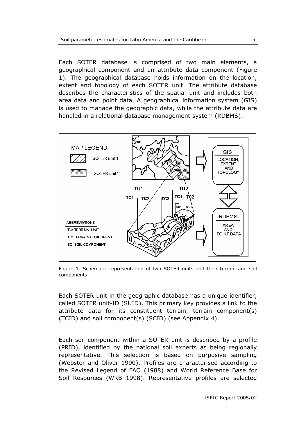<span id="page-8-0"></span>Each SOTER database is comprised of two main elements, a geographical component and an attribute data component (Figure 1). The *geographical database* holds information on the location, extent and topology of each SOTER unit. The *attribute database* describes the characteristics of the spatial unit and includes both area data and point data. A geographical information system (GIS) is used to manage the geographic data, while the attribute data are handled in a relational database management system (RDBMS).



Figure 1. Schematic representation of two SOTER units and their terrain and soil components

Each SOTER unit in the geographic database has a unique identifier, called SOTER unit-ID (SUID). This primary key provides a link to the attribute data for its constituent terrain, terrain component(s) (TCID) and soil component(s) (SCID) (see Appendix 4).

Each soil component within a SOTER unit is described by a profile (PRID), identified by the national soil experts as being regionally representative. This selection is based on purposive sampling (Webster and Oliver 1990). Profiles are characterised according to the Revised Legend of FAO (1988) and World Reference Base for Soil Resources (WRB 1998). Representative profiles are selected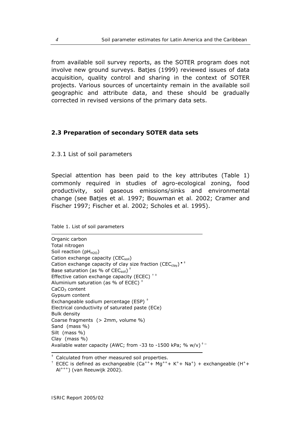<span id="page-9-0"></span>from available soil survey reports, as the SOTER program does not involve new ground surveys. Batjes (1999) reviewed issues of data acquisition, quality control and sharing in the context of SOTER projects. Various sources of uncertainty remain in the available soil geographic and attribute data, and these should be gradually corrected in revised versions of the primary data sets.

#### **2.3 Preparation of secondary SOTER data sets**

*2.3.1 List of soil parameters*

Special attention has been paid to the key attributes (Table 1) commonly required in studies of agro-ecological zoning, food productivity, soil gaseous emissions/sinks and environmental change (see Batjes *et al.* 1997; Bouwman *et al.* 2002; Cramer and Fischer 1997; Fischer *et al.* 2002; Scholes *et al.* 1995).

Table 1. List of soil parameters

Organic carbon Total nitrogen Soil reaction ( $pH_{H2O}$ ) Cation exchange capacity (CEC<sub>soil</sub>) Cation exchange capacity of clay size fraction (CEC<sub>clav</sub>)  $\cdot$ <sup> $\cdot$ </sup> Base saturation (as % of  $CEC<sub>soil</sub>$ )<sup> $+$ </sup> Effective cation exchange capacity (ECEC)  $^{\dagger\,\ddagger}$ Aluminium saturation (as % of ECEC) $<sup>‡</sup>$ </sup> CaCO<sub>3</sub> content Gypsum content Exchangeable sodium percentage (ESP) $<sup>‡</sup>$ </sup> Electrical conductivity of saturated paste (ECe) Bulk density Coarse fragments (> 2mm, volume %) Sand (mass %) Silt (mass %) Clay (mass %) Available water capacity (AWC; from -33 to -1500 kPa; %  $w/v$ )<sup> $\pm \alpha$ </sup>

<sup>‡</sup> Calculated from other measured soil properties.

 $^+$  ECEC is defined as exchangeable (Ca<sup>++</sup>+ Mg<sup>++</sup>+ K<sup>+</sup>+ Na<sup>+</sup>) + exchangeable (H<sup>+</sup>+ Al+++) (van Reeuwijk 2002).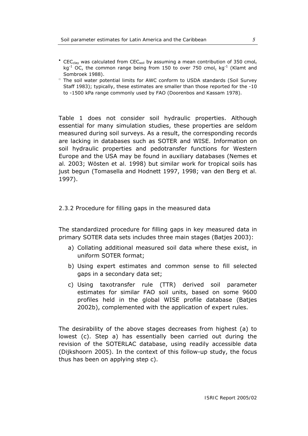- <span id="page-10-0"></span>• CEC<sub>clay</sub> was calculated from CEC<sub>soil</sub> by assuming a mean contribution of 350 cmol<sub>c</sub> kg<sup>-1</sup> OC, the common range being from 150 to over 750 cmol<sub>c</sub> kg<sup>-1</sup> (Klamt and Sombroek 1988).
- □ The soil water potential limits for AWC conform to USDA standards (Soil Survey Staff 1983); typically, these estimates are smaller than those reported for the -10 to -1500 kPa range commonly used by FAO (Doorenbos and Kassam 1978).

Table 1 does not consider soil hydraulic properties. Although essential for many simulation studies, these properties are seldom measured during soil surveys. As a result, the corresponding records are lacking in databases such as SOTER and WISE. Information on soil hydraulic properties and pedotransfer functions for Western Europe and the USA may be found in auxiliary databases (Nemes *et al.* 2003; Wösten *et al.* 1998) but similar work for tropical soils has just begun (Tomasella and Hodnett 1997, 1998; van den Berg *et al.* 1997).

#### *2.3.2 Procedure for filling gaps in the measured data*

The standardized procedure for filling gaps in key measured data in primary SOTER data sets includes three main stages (Batjes 2003):

- a) Collating additional measured soil data where these exist, in uniform SOTER format;
- b) Using expert estimates and common sense to fill selected gaps in a secondary data set;
- c) Using taxotransfer rule (TTR) derived soil parameter estimates for similar FAO soil units, based on some 9600 profiles held in the global WISE profile database (Batjes 2002b), complemented with the application of expert rules.

The desirability of the above stages decreases from highest (a) to lowest (c). Step a) has essentially been carried out during the revision of the SOTERLAC database, using readily accessible data (Dijkshoorn 2005). In the context of this follow-up study, the focus thus has been on applying step c).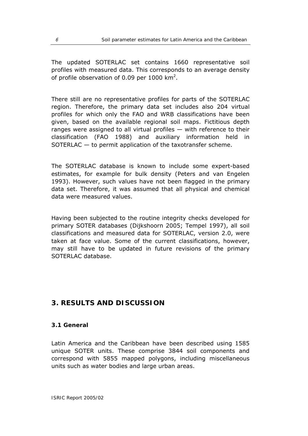<span id="page-11-0"></span>The updated SOTERLAC set contains 1660 representative soil profiles with measured data. This corresponds to an average density of profile observation of 0.09 per 1000  $km^2$ .

There still are no representative profiles for parts of the SOTERLAC region. Therefore, the primary data set includes also 204 virtual profiles for which only the FAO and WRB classifications have been given, based on the available regional soil maps. Fictitious depth ranges were assigned to all virtual profiles — with reference to their classification (FAO 1988) and auxiliary information held in SOTERLAC — to permit application of the taxotransfer scheme.

The SOTERLAC database is known to include some expert-based estimates, for example for bulk density (Peters and van Engelen 1993). However, such values have not been flagged in the primary data set. Therefore, it was assumed that all physical and chemical data were measured values.

Having been subjected to the routine integrity checks developed for primary SOTER databases (Dijkshoorn 2005; Tempel 1997), all soil classifications and measured data for SOTERLAC, version 2.0, were taken at face value. Some of the current classifications, however, may still have to be updated in future revisions of the primary SOTERLAC database.

# **3. RESULTS AND DISCUSSION**

#### **3.1 General**

Latin America and the Caribbean have been described using 1585 unique SOTER units. These comprise 3844 soil components and correspond with 5855 mapped polygons, including miscellaneous units such as water bodies and large urban areas.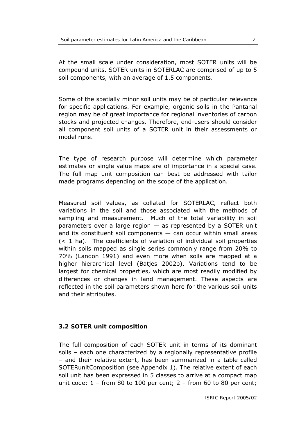<span id="page-12-0"></span>At the small scale under consideration, most SOTER units will be compound units. SOTER units in SOTERLAC are comprised of up to 5 soil components, with an average of 1.5 components.

Some of the spatially minor soil units may be of particular relevance for specific applications. For example, organic soils in the Pantanal region may be of great importance for regional inventories of carbon stocks and projected changes. Therefore, end-users should consider all component soil units of a SOTER unit in their assessments or model runs.

The type of research purpose will determine which parameter estimates or single value maps are of importance in a special case. The full map unit composition can best be addressed with tailor made programs depending on the scope of the application.

Measured soil values, as collated for SOTERLAC, reflect both variations in the soil and those associated with the methods of sampling and measurement. Much of the total variability in soil parameters over a large region  $-$  as represented by a SOTER unit and its constituent soil components  $-$  can occur within small areas (< 1 ha). The coefficients of variation of individual soil properties within soils mapped as single series commonly range from 20% to 70% (Landon 1991) and even more when soils are mapped at a higher hierarchical level (Batjes 2002b). Variations tend to be largest for chemical properties, which are most readily modified by differences or changes in land management. These aspects are reflected in the soil parameters shown here for the various soil units and their attributes.

## **3.2 SOTER unit composition**

The full composition of each SOTER unit in terms of its dominant soils – each one characterized by a regionally representative profile – and their relative extent, has been summarized in a table called *SOTERunitComposition* (see Appendix 1). The relative extent of each soil unit has been expressed in 5 classes to arrive at a compact map unit code:  $1$  – from 80 to 100 per cent;  $2$  – from 60 to 80 per cent;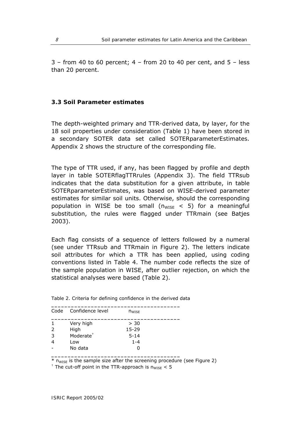<span id="page-13-0"></span> $3$  – from 40 to 60 percent;  $4$  – from 20 to 40 per cent, and  $5$  – less than 20 percent.

#### **3.3 Soil Parameter estimates**

The depth-weighted primary and TTR-derived data, by layer, for the 18 soil properties under consideration (Table 1) have been stored in a secondary SOTER data set called *SOTERparameterEstimates*. Appendix 2 shows the structure of the corresponding file.

The type of TTR used, if any, has been flagged by profile and depth layer in table *SOTERflagTTRrules* (Appendix 3). The field TTRsub indicates that the data substitution for a given attribute, in table *SOTERparameterEstimates*, was based on WISE-derived parameter estimates for similar soil units. Otherwise, should the corresponding population in WISE be too small ( $n_{WISE}$  < 5) for a meaningful substitution, the rules were flagged under TTRmain (see Batjes 2003).

Each flag consists of a sequence of letters followed by a numeral (see under TTRsub and TTRmain in Figure 2). The letters indicate soil attributes for which a TTR has been applied, using coding conventions listed in Table 4. The number code reflects the size of the sample population in WISE, after outlier rejection, on which the statistical analyses were based (Table 2).

|              | Code Confidence level | $n_{WISE}$ |  |
|--------------|-----------------------|------------|--|
| $\mathbf{1}$ | Very high             | > 30       |  |
| 2            | High                  | $15 - 29$  |  |
| 3            | Moderate <sup>+</sup> | $5 - 14$   |  |
| 4            | Low                   | $1 - 4$    |  |
|              | No data               |            |  |

**\_\_\_\_\_\_\_\_\_\_\_\_\_\_\_\_\_\_\_\_\_\_\_\_\_\_\_\_\_\_\_\_\_\_\_\_\_\_\_** 

|  | Table 2. Criteria for defining confidence in the derived data |
|--|---------------------------------------------------------------|
|--|---------------------------------------------------------------|

 $\overline{\text{F}}$  n<sub>WISE</sub> is the sample size after the screening procedure (see Figure 2)

 $+$  The cut-off point in the TTR-approach is  $n_{\text{WISE}} < 5$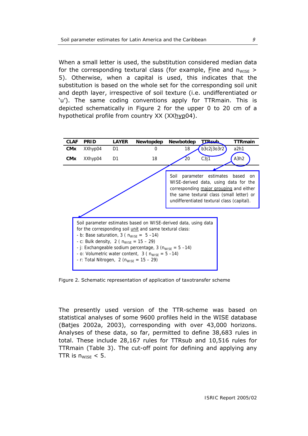<span id="page-14-0"></span>When a small letter is used, the substitution considered median data for the corresponding textural class (for example, Fine and  $n_{\text{WISE}} >$ 5). Otherwise, when a capital is used, this indicates that the substitution is based on the whole set for the corresponding soil unit and depth layer, irrespective of soil texture (i.e. undifferentiated or 'u'). The same coding conventions apply for TTRmain. This is depicted schematically in Figure 2 for the upper 0 to 20 cm of a hypothetical profile from country XX (XXhyp04).



Figure 2. Schematic representation of application of taxotransfer scheme

The presently used version of the TTR-scheme was based on statistical analyses of some 9600 profiles held in the WISE database (Batjes 2002a, 2003), corresponding with over 43,000 horizons. Analyses of these data, so far, permitted to define 38,683 rules in total. These include 28,167 rules for TTRsub and 10,516 rules for TTRmain (Table 3). The cut-off point for defining and applying any TTR is  $n_{WISE}$  < 5.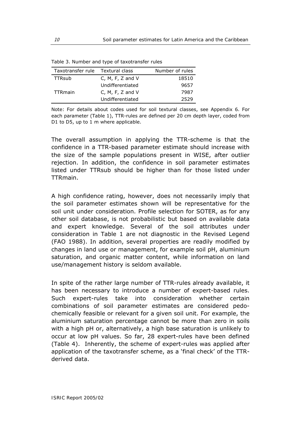| Taxotransfer rule Textural class |                  | Number of rules |
|----------------------------------|------------------|-----------------|
| <b>TTRsub</b>                    | C, M, F, Z and V | 18510           |
|                                  | Undifferentiated | 9657            |
| <b>TTRmain</b>                   | C, M, F, Z and V | 7987            |
|                                  | Undifferentiated | 2529            |

<span id="page-15-0"></span>Table 3. Number and type of taxotransfer rules

Note: For details about codes used for soil textural classes, see Appendix 6. For each parameter (Table 1), TTR-rules are defined per 20 cm depth layer, coded from D1 to D5, up to 1 m where applicable.

The overall assumption in applying the TTR-scheme is that the confidence in a TTR-based parameter estimate should increase with the size of the sample populations present in WISE, after outlier rejection. In addition, the confidence in soil parameter estimates listed under TTRsub should be higher than for those listed under TTRmain.

A high confidence rating, however, does not necessarily imply that the soil parameter estimates shown will be representative for the soil unit under consideration. Profile selection for SOTER, as for any other soil database, is not probabilistic but based on available data and expert knowledge. Several of the soil attributes under consideration in Table 1 are not diagnostic in the Revised Legend (FAO 1988). In addition, several properties are readily modified by changes in land use or management, for example soil pH, aluminium saturation, and organic matter content, while information on land use/management history is seldom available.

In spite of the rather large number of TTR-rules already available, it has been necessary to introduce a number of expert-based rules. Such expert-rules take into consideration whether certain combinations of soil parameter estimates are considered pedochemically feasible or relevant for a given soil unit. For example, the aluminium saturation percentage cannot be more than zero in soils with a high pH or, alternatively, a high base saturation is unlikely to occur at low pH values. So far, 28 expert-rules have been defined (Table 4). Inherently, the scheme of expert-rules was applied after application of the taxotransfer scheme, as a 'final check' of the TTRderived data.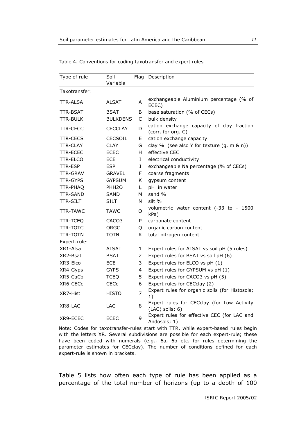| Type of rule    | Soil              | Flag | Description                                                     |
|-----------------|-------------------|------|-----------------------------------------------------------------|
|                 | Variable          |      |                                                                 |
| Taxotransfer:   |                   |      |                                                                 |
| TTR-ALSA        | <b>ALSAT</b>      | A    | exchangeable Aluminium percentage (% of<br>ECEC)                |
| TTR-BSAT        | BSAT              | B    | base saturation (% of CECs)                                     |
| TTR-BULK        | <b>BULKDENS</b>   | C    | bulk density                                                    |
| <b>TTR-CECC</b> | <b>CECCLAY</b>    | D    | cation exchange capacity of clay fraction<br>(corr. for org. C) |
| <b>TTR-CECS</b> | <b>CECSOIL</b>    | Е    | cation exchange capacity                                        |
| <b>TTR-CLAY</b> | <b>CLAY</b>       | G    | clay % (see also Y for texture (g, m & n))                      |
| <b>TTR-ECEC</b> | <b>ECEC</b>       | H    | effective CEC                                                   |
| <b>TTR-ELCO</b> | ECE               | Ι    | electrical conductivity                                         |
| <b>TTR-ESP</b>  | <b>ESP</b>        | J    | exchangeable Na percentage (% of CECs)                          |
| TTR-GRAV        | GRAVEL            | F    | coarse fragments                                                |
| <b>TTR-GYPS</b> | <b>GYPSUM</b>     | Κ    | gypsum content                                                  |
| TTR-PHAQ        | PHH <sub>20</sub> | L    | pH in water                                                     |
| <b>TTR-SAND</b> | SAND              | м    | sand %                                                          |
| <b>TTR-SILT</b> | SILT              | N    | silt %                                                          |
| <b>TTR-TAWC</b> | <b>TAWC</b>       | O    | volumetric water content (-33 to -<br>1500<br>kPa)              |
| TTR-TCEQ        | CACO3             | P    | carbonate content                                               |
| <b>TTR-TOTC</b> | ORGC              | Q    | organic carbon content                                          |
| <b>TTR-TOTN</b> | TOTN              | R.   | total nitrogen content                                          |
| Expert-rule:    |                   |      |                                                                 |
| XR1-Alsa        | ALSAT             | 1    | Expert rules for ALSAT vs soil pH (5 rules)                     |
| XR2-Bsat        | <b>BSAT</b>       | 2    | Expert rules for BSAT vs soil pH (6)                            |
| XR3-Elco        | <b>ECE</b>        | 3    | Expert rules for ELCO vs pH (1)                                 |
| XR4-Gyps        | <b>GYPS</b>       | 4    | Expert rules for GYPSUM vs pH (1)                               |
| XR5-CaCo        | <b>TCEQ</b>       | 5    | Expert rules for CACO3 vs pH (5)                                |
| XR6-CECc        | CECc              | 6    | Expert rules for CECclay (2)                                    |
| XR7-Hist        | HISTO             | 7    | Expert rules for organic soils (for Histosols;<br>1)            |
| XR8-LAC         | LAC               | 8    | Expert rules for CECclay (for Low Activity<br>$(LAC)$ soils; 6) |
| XR9-ECEC        | <b>ECEC</b>       | 9    | Expert rules for effective CEC (for LAC and<br>Andosols; 1)     |

<span id="page-16-0"></span>Table 4. Conventions for coding taxotransfer and expert rules

Note: Codes for taxotransfer-rules start with TTR, while expert-based rules begin with the letters XR. Several subdivisions are possible for each expert-rule; these have been coded with numerals (e.g., 6a, 6b etc. for rules determining the parameter estimates for CECclay). The number of conditions defined for each expert-rule is shown in brackets.

Table 5 lists how often each type of rule has been applied as a percentage of the total number of horizons (up to a depth of 100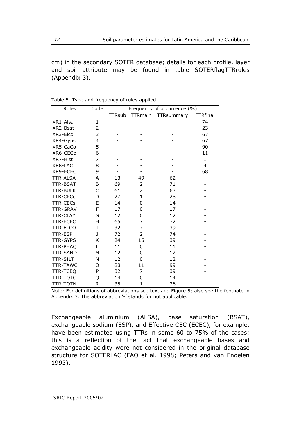<span id="page-17-0"></span>cm) in the secondary SOTER database; details for each profile, layer and soil attribute may be found in table *SOTERflagTTRrules*  (Appendix 3).

| Rules           | Code | Frequency of occurrence (%) |                |            |                          |
|-----------------|------|-----------------------------|----------------|------------|--------------------------|
|                 |      | <b>TTRsub</b>               | <b>TTRmain</b> | TTRsummary | <b>TTRfinal</b>          |
| XR1-Alsa        | 1    |                             |                |            | 74                       |
| XR2-Bsat        | 2    |                             |                |            | 23                       |
| XR3-Elco        | 3    |                             |                |            | 67                       |
| XR4-Gyps        | 4    |                             |                |            | 67                       |
| XR5-CaCo        | 5    |                             |                |            | 90                       |
| XR6-CECc        | 6    |                             |                |            | 11                       |
| XR7-Hist        | 7    |                             |                |            | 1                        |
| XR8-LAC         | 8    |                             |                |            | 4                        |
| XR9-ECEC        | 9    |                             |                |            | 68                       |
| <b>TTR-ALSA</b> | A    | 13                          | 49             | 62         | $\overline{\phantom{0}}$ |
| <b>TTR-BSAT</b> | B    | 69                          | 2              | 71         |                          |
| <b>TTR-BULK</b> | C    | 61                          | $\overline{2}$ | 63         |                          |
| <b>TTR-CECc</b> | D    | 27                          | $\mathbf{1}$   | 28         |                          |
| <b>TTR-CECs</b> | E    | 14                          | 0              | 14         |                          |
| <b>TTR-GRAV</b> | F    | 17                          | $\Omega$       | 17         |                          |
| <b>TTR-CLAY</b> | G    | 12                          | 0              | 12         |                          |
| <b>TTR-ECEC</b> | Η    | 65                          | 7              | 72         |                          |
| <b>TTR-ELCO</b> | I    | 32                          | 7              | 39         |                          |
| TTR-ESP         | J    | 72                          | 2              | 74         |                          |
| <b>TTR-GYPS</b> | Κ    | 24                          | 15             | 39         |                          |
| TTR-PHAQ        | L    | 11                          | 0              | 11         |                          |
| TTR-SAND        | M    | 12                          | 0              | 12         |                          |
| <b>TTR-SILT</b> | N    | 12                          | 0              | 12         |                          |
| <b>TTR-TAWC</b> | O    | 88                          | 11             | 99         |                          |
| <b>TTR-TCEQ</b> | P    | 32                          | 7              | 39         |                          |
| <b>TTR-TOTC</b> | Q    | 14                          | 0              | 14         |                          |
| <b>TTR-TOTN</b> | R    | 35                          | $\mathbf{1}$   | 36         |                          |

Table 5. Type and frequency of rules applied

Note: For definitions of abbreviations see text and Figure 5; also see the footnote in Appendix 3. The abbreviation '-' stands for not applicable.

Exchangeable aluminium (ALSA), base saturation (BSAT), exchangeable sodium (ESP), and Effective CEC (ECEC), for example, have been estimated using TTRs in some 60 to 75% of the cases; this is a reflection of the fact that exchangeable bases and exchangeable acidity were not considered in the original database structure for SOTERLAC (FAO *et al.* 1998; Peters and van Engelen 1993).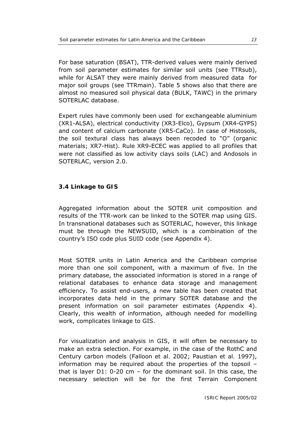<span id="page-18-0"></span>For base saturation (BSAT), TTR-derived values were mainly derived from soil parameter estimates for similar soil units (see TTRsub), while for ALSAT they were mainly derived from measured data for major soil groups (see TTRmain). Table 5 shows also that there are almost no measured soil physical data (BULK, TAWC) in the primary SOTERLAC database.

Expert rules have commonly been used for exchangeable aluminium (XR1-ALSA), electrical conductivity (XR3-Elco), Gypsum (XR4-GYPS) and content of calcium carbonate (XR5-CaCo). In case of Histosols, the soil textural class has always been recoded to "O" (organic materials; XR7-Hist). Rule XR9-ECEC was applied to all profiles that were not classified as low activity clays soils (LAC) and Andosols in SOTERLAC, version 2.0.

## **3.4 Linkage to GIS**

Aggregated information about the SOTER unit composition and results of the TTR-work can be linked to the SOTER map using GIS. In transnational databases such as SOTERLAC, however, this linkage must be through the NEWSUID, which is a combination of the country's ISO code plus SUID code (see Appendix 4).

Most SOTER units in Latin America and the Caribbean comprise more than one soil component, with a maximum of five. In the primary database, the associated information is stored in a range of relational databases to enhance data storage and management efficiency. To assist end-users, a new table has been created that incorporates data held in the primary SOTER database and the present information on soil parameter estimates (Appendix 4). Clearly, this wealth of information, although needed for modelling work, complicates linkage to GIS.

For visualization and analysis in GIS, it will often be necessary to make an extra selection. For example, in the case of the RothC and Century carbon models (Falloon *et al.* 2002; Paustian *et al.* 1997), information may be required about the properties of the topsoil – that is layer D1: 0-20 cm – for the dominant soil. In this case, the necessary selection will be for the first Terrain Component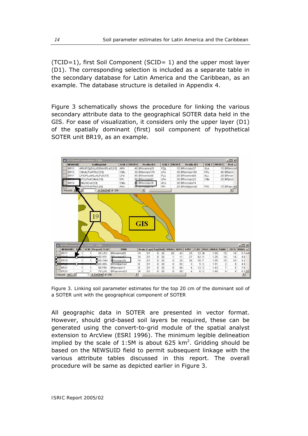<span id="page-19-0"></span>(TCID=1), first Soil Component (SCID= 1) and the upper most layer (D1). The corresponding selection is included as a separate table in the secondary database for Latin America and the Caribbean, as an example. The database structure is detailed in Appendix 4.

Figure 3 schematically shows the procedure for linking the various secondary attribute data to the geographical SOTER data held in the GIS. For ease of visualization, it considers only the upper layer (D1) of the spatially dominant (first) soil component of hypothetical SOTER unit BR19, as an example.



Figure 3. Linking soil parameter estimates for the top 20 cm of the dominant soil of a SOTER unit with the geographical component of SOTER

All geographic data in SOTER are presented in vector format. However, should grid-based soil layers be required, these can be generated using the convert-to-grid module of the spatial analyst extension to ArcView (ESRI 1996). The minimum legible delineation implied by the scale of 1:5M is about 625  $km^2$ . Gridding should be based on the NEWSUID field to permit subsequent linkage with the various attribute tables discussed in this report. The overall procedure will be same as depicted earlier in Figure 3.

*ISRIC Report 2005/02*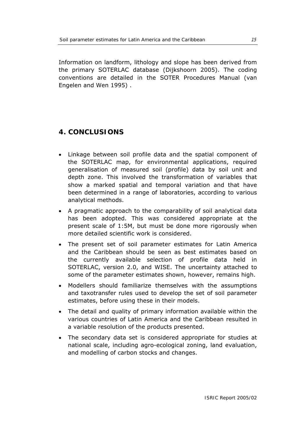<span id="page-20-0"></span>Information on landform, lithology and slope has been derived from the primary SOTERLAC database (Dijkshoorn 2005). The coding conventions are detailed in the SOTER Procedures Manual (van Engelen and Wen 1995) .

# **4. CONCLUSIONS**

- Linkage between soil profile data and the spatial component of the SOTERLAC map, for environmental applications, required generalisation of measured soil (profile) data by soil unit and depth zone. This involved the transformation of variables that show a marked spatial and temporal variation and that have been determined in a range of laboratories, according to various analytical methods.
- A pragmatic approach to the comparability of soil analytical data has been adopted. This was considered appropriate at the present scale of 1:5M, but must be done more rigorously when more detailed scientific work is considered.
- The present set of soil parameter estimates for Latin America and the Caribbean should be seen as best estimates based on the currently available selection of profile data held in SOTERLAC, version 2.0, and WISE. The uncertainty attached to some of the parameter estimates shown, however, remains high.
- Modellers should familiarize themselves with the assumptions and taxotransfer rules used to develop the set of soil parameter estimates, before using these in their models.
- The detail and quality of primary information available within the various countries of Latin America and the Caribbean resulted in a variable resolution of the products presented.
- The secondary data set is considered appropriate for studies at national scale, including agro-ecological zoning, land evaluation, and modelling of carbon stocks and changes.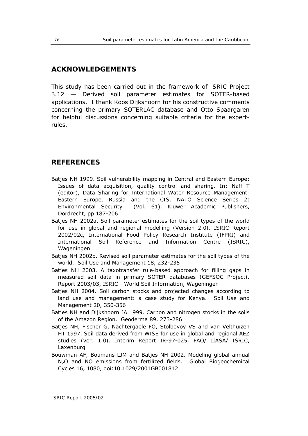## <span id="page-21-0"></span>**ACKNOWLEDGEMENTS**

This study has been carried out in the framework of *ISRIC Project 3.12 — Derived soil parameter estimates for SOTER-based applications*. I thank Koos Dijkshoorn for his constructive comments concerning the primary SOTERLAC database and Otto Spaargaren for helpful discussions concerning suitable criteria for the expertrules.

## **REFERENCES**

- Batjes NH 1999. Soil vulnerability mapping in Central and Eastern Europe: Issues of data acquisition, quality control and sharing. In: Naff T (editor), *Data Sharing for International Water Resource Management: Eastern Europe, Russia and the CIS*. NATO Science Series 2: Environmental Security (Vol. 61). Kluwer Academic Publishers, Dordrecht, pp 187-206
- Batjes NH 2002a. *Soil parameter estimates for the soil types of the world for use in global and regional modelling (Version 2.0)*. ISRIC Report 2002/02c, International Food Policy Research Institute (IFPRI) and International Soil Reference and Information Centre (ISRIC), Wageningen
- Batjes NH 2002b. Revised soil parameter estimates for the soil types of the world. *Soil Use and Management* 18, 232-235
- Batjes NH 2003. *A taxotransfer rule-based approach for filling gaps in measured soil data in primary SOTER databases (GEFSOC Project)*. Report 2003/03, ISRIC - World Soil Information, Wageningen
- Batjes NH 2004. Soil carbon stocks and projected changes according to land use and management: a case study for Kenya. *Soil Use and Management* 20, 350-356
- Batjes NH and Dijkshoorn JA 1999. Carbon and nitrogen stocks in the soils of the Amazon Region. *Geoderma* 89, 273-286
- Batjes NH, Fischer G, Nachtergaele FO, Stolbovoy VS and van Velthuizen HT 1997. *Soil data derived from WISE for use in global and regional AEZ studies (ver. 1.0)*. Interim Report IR-97-025, FAO/ IIASA/ ISRIC, Laxenburg
- Bouwman AF, Boumans LJM and Batjes NH 2002. Modeling global annual N2O and NO emissions from fertilized fields. *Global Biogeochemical Cycles* 16, 1080, doi:10.1029/2001GB001812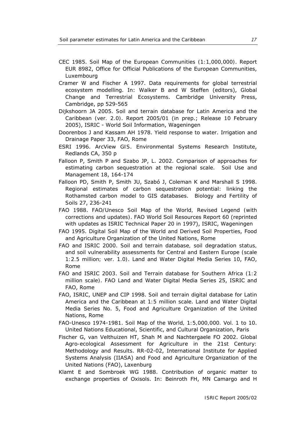- CEC 1985. *Soil Map of the European Communities (1:1,000,000)*. Report EUR 8982, Office for Official Publications of the European Communities, Luxembourg
- Cramer W and Fischer A 1997. Data requirements for global terrestrial ecosystem modelling. In: Walker B and W Steffen (editors), *Global Change and Terrestrial Ecosystems*. Cambridge University Press, Cambridge, pp 529-565
- Dijkshoorn JA 2005. *Soil and terrain database for Latin America and the Caribbean (ver. 2.0)*. Report 2005/01 (in prep.; Release 10 February 2005), ISRIC - World Soil Information, Wageningen
- Doorenbos J and Kassam AH 1978. *Yield response to water*. Irrigation and Drainage Paper 33, FAO, Rome
- ESRI 1996. *ArcView GIS*. Environmental Systems Research Institute, Redlands CA, 350 p
- Falloon P, Smith P and Szabo JP, L. 2002. Comparison of approaches for estimating carbon sequestration at the regional scale. *Soil Use and Management* 18, 164-174
- Falloon PD, Smith P, Smith JU, Szabó J, Coleman K and Marshall S 1998. Regional estimates of carbon sequestration potential: linking the Rothamsted carbon model to GIS databases. *Biology and Fertility of Soils* 27, 236-241
- FAO 1988. *FAO/Unesco Soil Map of the World, Revised Legend (with corrections and updates)*. FAO World Soil Resources Report 60 (reprinted with updates as ISRIC Technical Paper 20 in 1997), ISRIC, Wageningen
- FAO 1995. *Digital Soil Map of the World and Derived Soil Properties*, Food and Agriculture Organization of the United Nations, Rome
- FAO and ISRIC 2000. *Soil and terrain database, soil degradation status, and soil vulnerability assessments for Central and Eastern Europe (scale 1:2.5 million; ver. 1.0)*. Land and Water Digital Media Series 10, FAO, Rome
- FAO and ISRIC 2003. *Soil and Terrain database for Southern Africa (1:2 million scale)*. FAO Land and Water Digital Media Series 25, ISRIC and FAO, Rome
- FAO, ISRIC, UNEP and CIP 1998. *Soil and terrain digital database for Latin America and the Caribbean at 1:5 million scale*. Land and Water Digital Media Series No. 5, Food and Agriculture Organization of the United Nations, Rome
- FAO-Unesco 1974-1981. *Soil Map of the World, 1:5,000,000. Vol. 1 to 10*. United Nations Educational, Scientific, and Cultural Organization, Paris
- Fischer G, van Velthuizen HT, Shah M and Nachtergaele FO 2002. *Global Agro-ecological Assessment for Agriculture in the 21st Century: Methodology and Results*. RR-02-02, International Institute for Applied Systems Analysis (IIASA) and Food and Agriculture Organization of the United Nations (FAO), Laxenburg
- Klamt E and Sombroek WG 1988. Contribution of organic matter to exchange properties of Oxisols. In: Beinroth FH, MN Camargo and H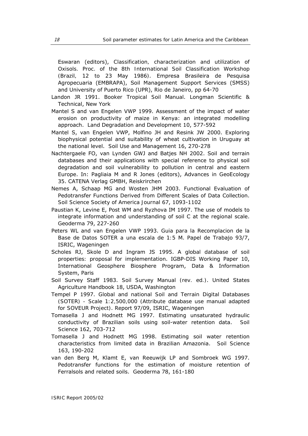Eswaran (editors), *Classification, characterization and utilization of Oxisols. Proc. of the 8th International Soil Classification Workshop (Brazil, 12 to 23 May 1986)*. Empresa Brasileira de Pesquisa Agropecuaria (EMBRAPA), Soil Management Support Services (SMSS) and University of Puerto Rico (UPR), Rio de Janeiro, pp 64-70

- Landon JR 1991. *Booker Tropical Soil Manual*. Longman Scientific & Technical, New York
- Mantel S and van Engelen VWP 1999. Assessment of the impact of water erosion on productivity of maize in Kenya: an integrated modelling approach. *Land Degradation and Development* 10, 577-592
- Mantel S, van Engelen VWP, Molfino JH and Resink JW 2000. Exploring biophysical potential and suitability of wheat cultivation in Uruguay at the national level. *Soil Use and Management* 16, 270-278
- Nachtergaele FO, van Lynden GWJ and Batjes NH 2002. Soil and terrain databases and their applications with special reference to physical soil degradation and soil vulnerability to pollution in central and eastern Europe. In: Pagliaia M and R Jones (editors), *Advances in GeoEcology 35*. CATENA Verlag GMBH, Reiskrirchen
- Nemes A, Schaap MG and Wosten JHM 2003. Functional Evaluation of Pedotransfer Functions Derived from Different Scales of Data Collection. *Soil Science Society of America Journal* 67, 1093-1102
- Paustian K, Levine E, Post WM and Ryzhova IM 1997. The use of models to integrate information and understanding of soil C at the regional scale. *Geoderma* 79, 227-260
- Peters WL and van Engelen VWP 1993. *Guia para la Recomplacion de la Base de Datos SOTER a una escala de 1:5 M*. Papel de Trabajo 93/7, ISRIC, Wageningen
- Scholes RJ, Skole D and Ingram JS 1995. *A global database of soil properties: proposal for implementation*. IGBP-DIS Working Paper 10, International Geosphere Biosphere Program, Data & Information System, Paris
- Soil Survey Staff 1983. *Soil Survey Manual (rev. ed.)*. United States Agriculture Handbook 18, USDA, Washington
- Tempel P 1997. *Global and national Soil and Terrain Digital Databases (SOTER) - Scale 1:2,500,000 (Attribute database use manual adapted for SOVEUR Project)*. Report 97/09, ISRIC, Wageningen
- Tomasella J and Hodnett MG 1997. Estimating unsaturated hydraulic conductivity of Brazilian soils using soil-water retention data. *Soil Science* 162, 703-712
- Tomasella J and Hodnett MG 1998. Estimating soil water retention characteristics from limited data in Brazilian Amazonia. *Soil Science* 163, 190-202
- van den Berg M, Klamt E, van Reeuwijk LP and Sombroek WG 1997. Pedotransfer functions for the estimation of moisture retention of Ferralsols and related soils. *Geoderma* 78, 161-180

*ISRIC Report 2005/02*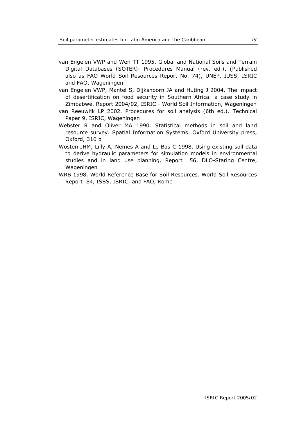- van Engelen VWP and Wen TT 1995. *Global and National Soils and Terrain Digital Databases (SOTER): Procedures Manual (rev. ed.)*. (Published also as FAO World Soil Resources Report No. 74), UNEP, IUSS, ISRIC and FAO, Wageningen
- van Engelen VWP, Mantel S, Dijkshoorn JA and Huting J 2004. *The impact of desertification on food security in Southern Africa: a case study in Zimbabwe*. Report 2004/02, ISRIC - World Soil Information, Wageningen
- van Reeuwijk LP 2002. *Procedures for soil analysis (6th ed.)*. Technical Paper 9, ISRIC, Wageningen
- Webster R and Oliver MA 1990. *Statistical methods in soil and land resource survey*. Spatial Information Systems. Oxford University press, Oxford, 316 p
- Wösten JHM, Lilly A, Nemes A and Le Bas C 1998. *Using existing soil data to derive hydraulic parameters for simulation models in environmental studies and in land use planning*. Report 156, DLO-Staring Centre, Wageningen
- WRB 1998. *World Reference Base for Soil Resources*. World Soil Resources Report 84, ISSS, ISRIC, and FAO, Rome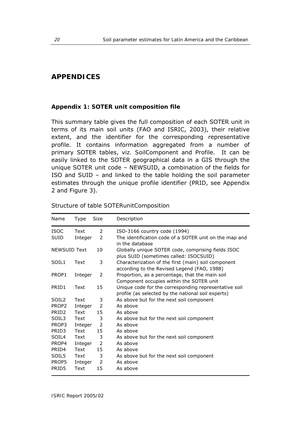## <span id="page-25-0"></span>**APPENDICES**

#### **Appendix 1: SOTER unit composition file**

This summary table gives the full composition of each SOTER unit in terms of its main soil units (FAO and ISRIC, 2003), their relative extent, and the identifier for the corresponding representative profile. It contains information aggregated from a number of primary SOTER tables, *viz. SoilComponent* and *Profile*. It can be easily linked to the SOTER geographical data in a GIS through the unique SOTER unit code – NEWSUID, a combination of the fields for ISO and SUID – and linked to the table holding the soil parameter estimates through the unique profile identifier (PRID, see Appendix 2 and Figure 3).

| Name                | Type    | Size          | Description                                                                                                 |
|---------------------|---------|---------------|-------------------------------------------------------------------------------------------------------------|
| <b>ISOC</b>         | Text    | 2             | ISO-3166 country code (1994)                                                                                |
| SUID                | Integer | 2             | The identification code of a SOTER unit on the map and<br>in the database                                   |
| <b>NEWSUID Text</b> |         | 10            | Globally unique SOTER code, comprising fields ISOC<br>plus SUID (sometimes called: ISOCSUID)                |
| SOIL1               | Text    | 3             | Characterization of the first (main) soil component<br>according to the Revised Legend (FAO, 1988)          |
| PROP1               | Integer | 2             | Proportion, as a percentage, that the main soil<br>Component occupies within the SOTER unit                 |
| PRID1               | Text    | 15            | Unique code for the corresponding representative soil<br>profile (as selected by the national soil experts) |
| SOIL <sub>2</sub>   | Text    | 3             | As above but for the next soil component                                                                    |
| PROP2               | Integer | 2             | As above                                                                                                    |
| PRID <sub>2</sub>   | Text    | 15            | As above                                                                                                    |
| SOIL3               | Text    | 3             | As above but for the next soil component                                                                    |
| PROP3               | Integer | $\mathcal{P}$ | As above                                                                                                    |
| PRID3               | Text    | 15            | As above                                                                                                    |
| SOIL4               | Text    | 3             | As above but for the next soil component                                                                    |
| PROP4               | Integer | 2             | As above                                                                                                    |
| PRID4               | Text    | 15            | As above                                                                                                    |
| SOIL5               | Text    | 3             | As above but for the next soil component                                                                    |
| PROP5               | Integer | $\mathcal{P}$ | As above                                                                                                    |
| PRID5               | Text    | 15            | As above                                                                                                    |

| Structure of table SOTERunitComposition |
|-----------------------------------------|
|-----------------------------------------|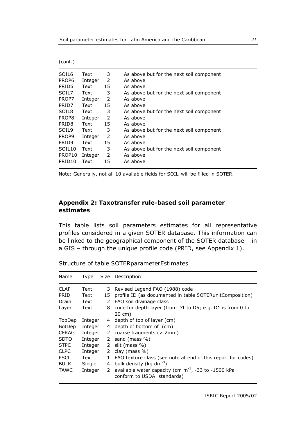<span id="page-26-0"></span>*(cont*.)

| SOIL6              | Text    | 3             | As above but for the next soil component |
|--------------------|---------|---------------|------------------------------------------|
| PROP6              | Integer | $\mathcal{P}$ | As above                                 |
| PRID <sub>6</sub>  | Text    | 15            | As above                                 |
| SOIL7              | Text    | 3             | As above but for the next soil component |
| PROP7              | Integer | $\mathcal{P}$ | As above                                 |
| PRID7              | Text    | 15            | As above                                 |
| SOIL8              | Text    | 3             | As above but for the next soil component |
| PROP8              | Integer | $\mathcal{P}$ | As above                                 |
| PRID8              | Text    | 15            | As above                                 |
| SOIL <sub>9</sub>  | Text    | 3             | As above but for the next soil component |
| PROP <sub>9</sub>  | Integer | $\mathcal{P}$ | As above                                 |
| PRID <sub>9</sub>  | Text    | 15            | As above                                 |
| SOIL <sub>10</sub> | Text    | 3             | As above but for the next soil component |
| PROP10             | Integer | $\mathcal{P}$ | As above                                 |
| PRID <sub>10</sub> | Text    | 15            | As above                                 |
|                    |         |               |                                          |

Note: Generally, not all 10 available fields for SOIL; will be filled in SOTER.

## **Appendix 2: Taxotransfer rule-based soil parameter estimates**

This table lists soil parameters estimates for all representative profiles considered in a given SOTER database. This information can be linked to the geographical component of the SOTER database – in a GIS – through the unique profile code (PRID, see Appendix 1).

| Name          | Type    |              | Size Description                                                                       |
|---------------|---------|--------------|----------------------------------------------------------------------------------------|
| <b>CLAF</b>   | Text    | 3            | Revised Legend FAO (1988) code                                                         |
| PRID          | Text    | 15           | profile ID (as documented in table SOTERunitComposition)                               |
| Drain         | Text    | 2            | FAO soil drainage class                                                                |
| Layer         | Text    | 8            | code for depth layer (from D1 to D5; e.g. D1 is from 0 to<br>$20 \text{ cm}$           |
| TopDep        | Integer | 4            | depth of top of layer (cm)                                                             |
| <b>BotDep</b> | Integer | 4            | depth of bottom of (cm)                                                                |
| <b>CFRAG</b>  | Integer | 2            | coarse fragments $(> 2mm)$                                                             |
| <b>SDTO</b>   | Integer | 2            | sand (mass %)                                                                          |
| <b>STPC</b>   | Integer | 2            | silt (mass %)                                                                          |
| <b>CLPC</b>   | Integer | 2            | clay (mass $\%$ )                                                                      |
| <b>PSCL</b>   | Text    | $\mathbf{1}$ | FAO texture class (see note at end of this report for codes)                           |
| <b>BULK</b>   | Single  | 4            | bulk density (kg dm <sup>-3</sup> )                                                    |
| <b>TAWC</b>   | Integer | 2            | available water capacity (cm $m^{-1}$ , -33 to -1500 kPa<br>conform to USDA standards) |

Structure of table *SOTERparameterEstimates*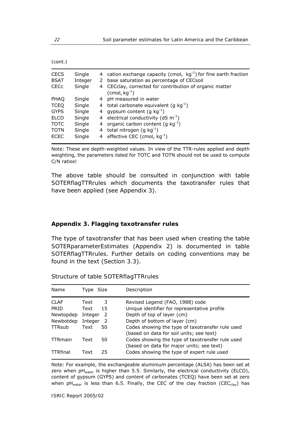<span id="page-27-0"></span>

| cont |  |
|------|--|
|      |  |

| <b>CECS</b><br><b>BSAT</b><br><b>CECc</b> | Single<br>Integer<br>Single | 2<br>4 | 4 cation exchange capacity (cmol <sub>c</sub> kg <sup>-1</sup> ) for fine earth fraction<br>base saturation as percentage of CECsoil<br>CECclay, corrected for contribution of organic matter<br>$(\text{cmol}_c \text{ kg}^{-1})$ |
|-------------------------------------------|-----------------------------|--------|------------------------------------------------------------------------------------------------------------------------------------------------------------------------------------------------------------------------------------|
| PHAQ                                      | Single                      |        | 4 pH measured in water                                                                                                                                                                                                             |
| <b>TCEQ</b>                               | Single                      |        | 4 total carbonate equivalent (g $kg^{-1}$ )                                                                                                                                                                                        |
| <b>GYPS</b>                               | Single                      |        | 4 gypsum content $(q kq^{-1})$                                                                                                                                                                                                     |
| <b>ELCO</b>                               | Single                      |        | 4 electrical conductivity (dS $m^{-1}$ )                                                                                                                                                                                           |
| <b>TOTC</b>                               | Single                      | 4      | organic carbon content (q $kg^{-1}$ )                                                                                                                                                                                              |
| <b>TOTN</b>                               | Single                      | 4      | total nitrogen (g $kg^{-1}$ )                                                                                                                                                                                                      |
| <b>ECEC</b>                               | Single                      |        | 4 effective CEC (cmol <sub>c</sub> kg <sup>-1</sup> )                                                                                                                                                                              |

Note: These are depth-weighted values. In view of the TTR-rules applied and depth weighting, the parameters listed for TOTC and TOTN should not be used to compute C/N ratios!

The above table should be consulted in conjunction with table *SOTERflagTTRrules* which documents the taxotransfer rules that have been applied (see Appendix 3).

#### **Appendix 3. Flagging taxotransfer rules**

The type of taxotransfer that has been used when creating the table *SOTERparameterEstimates* (Appendix 2) is documented in table *SOTERflagTTRrules*. Further details on coding conventions may be found in the text (Section 3.3).

| Name                                                            | Type Size                          |                   | Description                                                                                                                                                                                                                                         |
|-----------------------------------------------------------------|------------------------------------|-------------------|-----------------------------------------------------------------------------------------------------------------------------------------------------------------------------------------------------------------------------------------------------|
| CI AF<br><b>PRID</b><br>Newtopdep<br>Newbotdep<br><b>TTRsub</b> | Text<br>Text<br>Integer<br>Integer | 3<br>15<br>2<br>2 | Revised Legend (FAO, 1988) code<br>Unique identifier for representative profile<br>Depth of top of layer (cm)<br>Depth of bottom of layer (cm)                                                                                                      |
| <b>TTRmain</b><br><b>TTRfinal</b>                               | Text<br>Text<br>Text               | 50<br>50<br>25    | Codes showing the type of taxotransfer rule used<br>(based on data for soil units; see text)<br>Codes showing the type of taxotransfer rule used<br>(based on data for <i>major units</i> ; see text)<br>Codes showing the type of expert rule used |

Structure of table *SOTERflagTTRrules* 

Note: For example, the exchangeable aluminium percentage (ALSA) has been set at zero when  $pH_{water}$  is higher than 5.5. Similarly, the electrical conductivity (ELCO), content of gypsum (GYPS) and content of carbonates (TCEQ) have been set at zero when pH<sub>water</sub> is less than 6.5. Finally, the CEC of the clay fraction (CEC<sub>clay</sub>) has

*ISRIC Report 2005/02*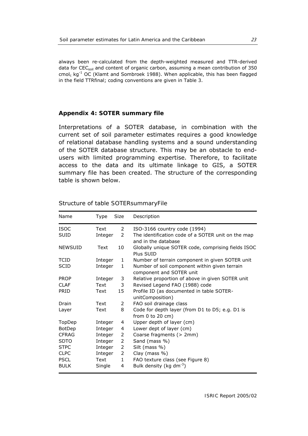<span id="page-28-0"></span>always been re-calculated from the depth-weighted measured and TTR-derived data for CEC<sub>soil</sub> and content of organic carbon, assuming a mean contribution of 350 cmol<sub>c</sub> kg<sup>-1</sup> OC (Klamt and Sombroek 1988). When applicable, this has been flagged in the field TTRfinal; coding conventions are given in Table 3.

#### **Appendix 4: SOTER summary file**

Interpretations of a SOTER database, in combination with the current set of soil parameter estimates requires a good knowledge of relational database handling systems and a sound understanding of the SOTER database structure. This may be an obstacle to endusers with limited programming expertise. Therefore, to facilitate access to the data and its ultimate linkage to GIS, a SOTER summary file has been created. The structure of the corresponding table is shown below.

| Name           | Type    | Size         | Description                                                                |
|----------------|---------|--------------|----------------------------------------------------------------------------|
| <b>ISOC</b>    | Text    | 2            | ISO-3166 country code (1994)                                               |
| <b>SUID</b>    | Integer | 2            | The identification code of a SOTER unit on the map<br>and in the database  |
| <b>NEWSUID</b> | Text    | 10           | Globally unique SOTER code, comprising fields ISOC<br>Plus SUID            |
| <b>TCID</b>    | Integer | 1            | Number of terrain component in given SOTER unit                            |
| <b>SCID</b>    | Integer | 1            | Number of soil component within given terrain                              |
|                |         |              | component and SOTER unit                                                   |
| <b>PROP</b>    | Integer | 3            | Relative proportion of above in given SOTER unit                           |
| <b>CLAF</b>    | Text    | 3            | Revised Legend FAO (1988) code                                             |
| <b>PRID</b>    | Text    | 15           | Profile ID (as documented in table SOTER-<br>unitComposition)              |
| Drain          | Text    | 2            | FAO soil drainage class                                                    |
| Layer          | Text    | 8            | Code for depth layer (from D1 to D5; e.g. D1 is<br>from $0$ to $20$ cm $)$ |
| TopDep         | Integer | 4            | Upper depth of layer (cm)                                                  |
| BotDep         | Integer | 4            | Lower dept of layer (cm)                                                   |
| <b>CFRAG</b>   | Integer | 2            | Coarse fragments (> 2mm)                                                   |
| <b>SDTO</b>    | Integer | 2            | Sand (mass %)                                                              |
| <b>STPC</b>    | Integer | 2            | Silt (mass %)                                                              |
| <b>CLPC</b>    | Integer | 2            | Clay (mass %)                                                              |
| <b>PSCL</b>    | Text    | $\mathbf{1}$ | FAO texture class (see Figure 8)                                           |
| <b>BULK</b>    | Single  | 4            | Bulk density (kg dm $^{-3}$ )                                              |

#### Structure of table *SOTERsummaryFile*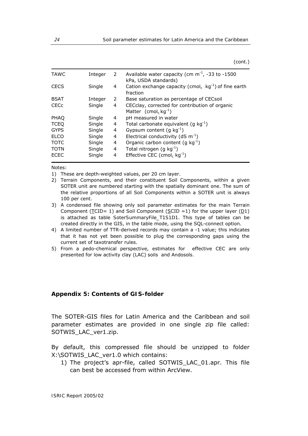(cont.)

<span id="page-29-0"></span>

| <b>TAWC</b> | Integer | 2 | Available water capacity (cm $m^{-1}$ , -33 to -1500<br>kPa, USDA standards)                   |
|-------------|---------|---|------------------------------------------------------------------------------------------------|
| <b>CECS</b> | Single  | 4 | Cation exchange capacity (cmol <sub>c</sub> kg <sup>-1</sup> ) of fine earth<br>fraction       |
| <b>BSAT</b> | Integer | 2 | Base saturation as percentage of CECsoil                                                       |
| <b>CECc</b> | Single  | 4 | CECclay, corrected for contribution of organic<br>Matter (cmol <sub>c</sub> kg <sup>-1</sup> ) |
| <b>PHAO</b> | Single  | 4 | pH measured in water                                                                           |
| <b>TCEQ</b> | Single  | 4 | Total carbonate equivalent $(g kg^{-1})$                                                       |
| <b>GYPS</b> | Single  | 4 | Gypsum content (q $kg^{-1}$ )                                                                  |
| <b>ELCO</b> | Single  | 4 | Electrical conductivity (dS $m^{-1}$ )                                                         |
| <b>TOTC</b> | Single  | 4 | Organic carbon content (q $kg^{-1}$ )                                                          |
| <b>TOTN</b> | Single  | 4 | Total nitrogen (g $kg^{-1}$ )                                                                  |
| <b>ECEC</b> | Single  | 4 | Effective CEC (cmol <sub>c</sub> $kg^{-1}$ )                                                   |

Notes:

- 1) These are depth-weighted values, per 20 cm layer.
- 2) Terrain Components, and their constituent Soil Components, within a given SOTER unit are numbered starting with the spatially dominant one. The sum of the relative proportions of all Soil Components within a SOTER unit is always 100 per cent.
- 3) A condensed file showing only soil parameter estimates for the main Terrain Component ( $\underline{\text{TCID}} = 1$ ) and Soil Component ( $\underline{\text{SCID}} = 1$ ) for the upper layer ( $\underline{\text{D1}}$ ) is attached as table *SoterSummaryFile\_T1S1D1*. This type of tables can be created directly in the GIS, in the table mode, using the SQL-connect option.
- 4) A limited number of TTR-derived records may contain a -1 value; this indicates that it has not yet been possible to plug the corresponding gaps using the current set of taxotransfer rules.
- 5) From a pedo-chemical perspective, estimates for effective CEC are only presented for low activity clay (LAC) soils and Andosols.

#### **Appendix 5: Contents of GIS-folder**

The SOTER-GIS files for Latin America and the Caribbean and soil parameter estimates are provided in one single zip file called: SOTWIS\_LAC\_ver1.zip.

By default, this compressed file should be unzipped to folder X:\SOTWIS\_LAC\_ver1.0 which contains:

1) The project's apr-file, called SOTWIS\_LAC\_01.apr. This file can best be accessed from within ArcView.

*ISRIC Report 2005/02*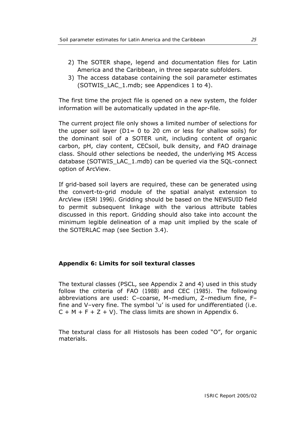- <span id="page-30-0"></span>2) The SOTER shape, legend and documentation files for Latin America and the Caribbean, in three separate subfolders.
- 3) The access database containing the soil parameter estimates (SOTWIS\_LAC\_1.mdb; see Appendices 1 to 4).

The first time the project file is opened on a new system, the folder information will be automatically updated in the apr-file.

The current project file only shows a limited number of selections for the upper soil layer ( $D1= 0$  to 20 cm or less for shallow soils) for the dominant soil of a SOTER unit, including content of organic carbon, pH, clay content, CECsoil, bulk density, and FAO drainage class. Should other selections be needed, the underlying MS Access database (SOTWIS\_LAC\_1.mdb) can be queried via the SQL-connect option of ArcView.

If grid-based soil layers are required, these can be generated using the convert-to-grid module of the spatial analyst extension to ArcView (ESRI 1996). Gridding should be based on the NEWSUID field to permit subsequent linkage with the various attribute tables discussed in this report. Gridding should also take into account the minimum legible delineation of a map unit implied by the scale of the SOTERLAC map (see Section 3.4).

#### **Appendix 6: Limits for soil textural classes**

The textural classes (PSCL, see Appendix 2 and 4) used in this study follow the criteria of FAO (1988) and CEC (1985). The following abbreviations are used: C–coarse, M–medium, Z–medium fine, F– fine and V–very fine. The symbol 'u' is used for undifferentiated (i.e.  $C + M + F + Z + V$ . The class limits are shown in Appendix 6.

The textural class for all Histosols has been coded "O", for organic materials.